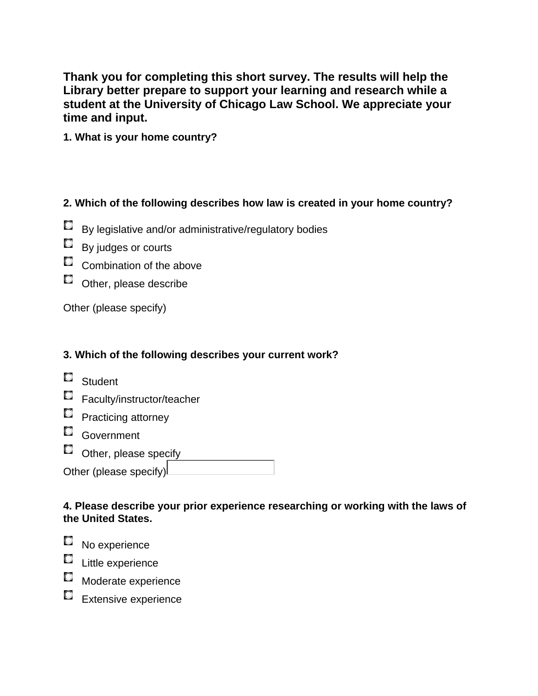**Thank you for completing this short survey. The results will help the Library better prepare to support your learning and research while a student at the University of Chicago Law School. We appreciate your time and input.**

**1. What is your home country?**

### **2. Which of the following describes how law is created in your home country?**

- С By legislative and/or administrative/regulatory bodies
- $\Box$  By judges or courts
- Combination of the above
- $\Box$  Other, please describe

Other (please specify)

# **3. Which of the following describes your current work?**

- Student
- Faculty/instructor/teacher
- **Practicing attorney**
- Government
- $\Box$  Other, please specify \_\_\_\_\_\_\_\_\_\_\_\_\_\_\_\_

| Other (please specify)L |  |
|-------------------------|--|
|                         |  |

#### **4. Please describe your prior experience researching or working with the laws of the United States.**

- No experience
- $\Box$  Little experience
- **Moderate experience**
- Extensive experience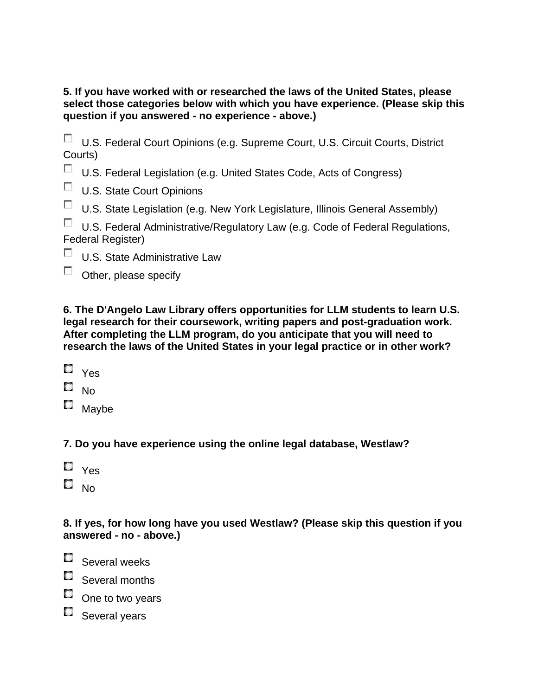#### **5. If you have worked with or researched the laws of the United States, please select those categories below with which you have experience. (Please skip this question if you answered - no experience - above.)**

|         |  |  | U.S. Federal Court Opinions (e.g. Supreme Court, U.S. Circuit Courts, District |  |  |  |
|---------|--|--|--------------------------------------------------------------------------------|--|--|--|
| Courts) |  |  |                                                                                |  |  |  |

U.S. Federal Legislation (e.g. United States Code, Acts of Congress)

**U.S. State Court Opinions** 

 $\sim$ U.S. State Legislation (e.g. New York Legislature, Illinois General Assembly)

U.S. Federal Administrative/Regulatory Law (e.g. Code of Federal Regulations, Federal Register)

- **U.S. State Administrative Law**
- $\sim$ Other, please specify

**6. The D'Angelo Law Library offers opportunities for LLM students to learn U.S. legal research for their coursework, writing papers and post-graduation work. After completing the LLM program, do you anticipate that you will need to research the laws of the United States in your legal practice or in other work?**

- $\Box$  Yes
- $\blacksquare$  No
- $\square$  Maybe

# **7. Do you have experience using the online legal database, Westlaw?**

- $\Box$   $_{\rm Yes}$
- $\square$  No

## **8. If yes, for how long have you used Westlaw? (Please skip this question if you answered - no - above.)**

- $\blacksquare$  Several weeks
- Several months
- $\square$  One to two years
- Several years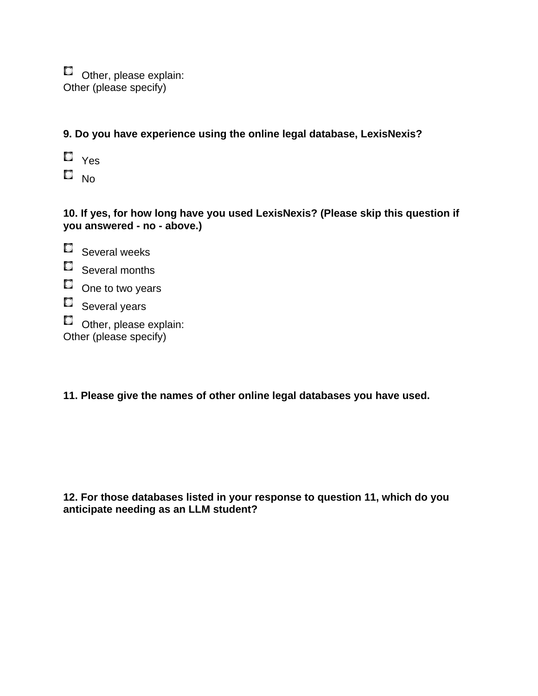$\square$  Other, please explain: Other (please specify)

**9. Do you have experience using the online legal database, LexisNexis?**

 $\square$   $\gamma$ es  $\square$  No

## **10. If yes, for how long have you used LexisNexis? (Please skip this question if you answered - no - above.)**

- Several weeks Several months One to two years Several years  $\square$  Other, please explain: Other (please specify)
- 

## **11. Please give the names of other online legal databases you have used.**

**12. For those databases listed in your response to question 11, which do you anticipate needing as an LLM student?**